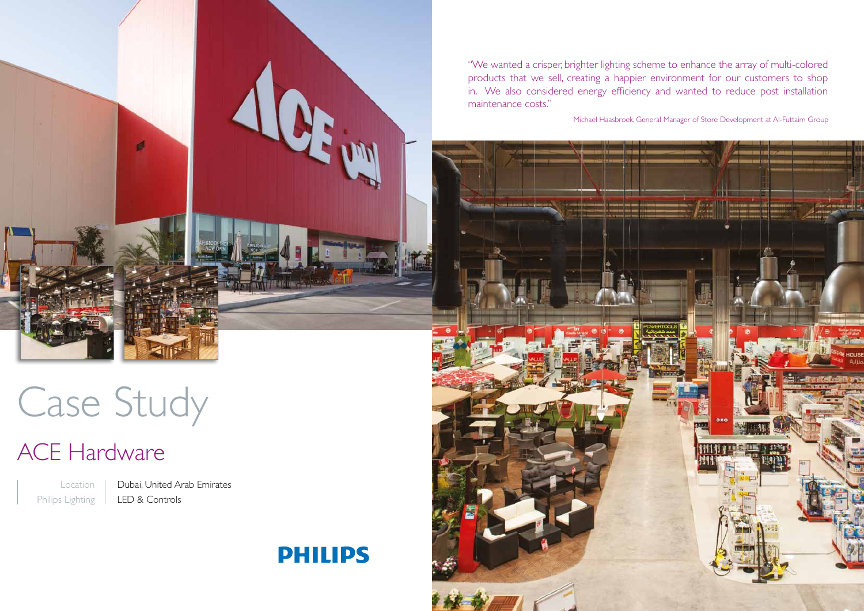

Case Study

# ACE Hardware

Location Philips Lighting Dubai, United Arab Emirates LED & Controls

# **PHILIPS**

"We wanted a crisper, brighter lighting scheme to enhance the array of multi-colored products that we sell, creating a happier environment for our customers to shop in. We also considered energy efficiency and wanted to reduce post installation maintenance costs."

Michael Haasbroek, General Manager of Store Development at Al-Futtaim Group